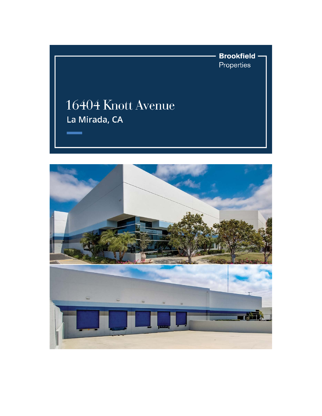**Brookfield** -Properties

## 16404 Knott Avenue La Mirada, CA

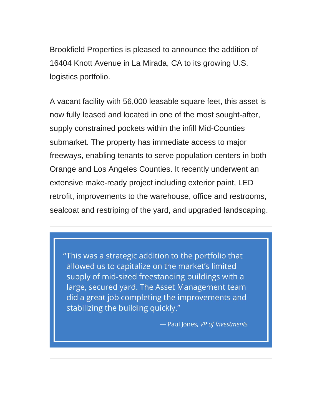Brookfield Properties is pleased to announce the addition of 16404 Knott Avenue in La Mirada, CA to its growing U.S. logistics portfolio.

A vacant facility with 56,000 leasable square feet, this asset is now fully leased and located in one of the most sought-after, supply constrained pockets within the infill Mid-Counties submarket. The property has immediate access to major freeways, enabling tenants to serve population centers in both Orange and Los Angeles Counties. It recently underwent an extensive make-ready project including exterior paint, LED retrofit, improvements to the warehouse, office and restrooms, sealcoat and restriping of the yard, and upgraded landscaping.

"This was a strategic addition to the portfolio that allowed us to capitalize on the market's limited supply of mid-sized freestanding buildings with a large, secured yard. The Asset Management team did a great job completing the improvements and stabilizing the building quickly."

- Paul Jones, VP of Investments